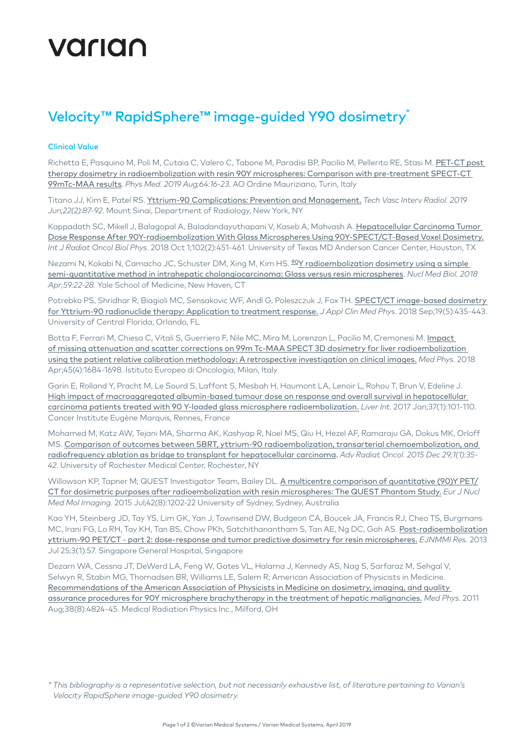# varian

## Velocity™ RapidSphere™ image-guided Y90 dosimetry

#### Clinical Value

Richetta E, Pasquino M, Poli M, Cutaia C, Valero C, Tabone M, Paradisi BP, Pacilio M, Pellerito RE, Stasi M. [PET-CT post](https://pubmed.ncbi.nlm.nih.gov/31515015/)  [therapy dosimetry in radioembolization with resin 90Y microspheres: Comparison with pre-treatment SPECT-CT](https://pubmed.ncbi.nlm.nih.gov/31515015/)  [99mTc-MAA results](https://pubmed.ncbi.nlm.nih.gov/31515015/). *Phys Med. 2019 Aug;64:16-23.* AO Ordine Mauriziano, Turin, Italy

Titano JJ, Kim E, Patel RS. [Yttrium-90 Complications: Prevention and Management.](https://pubmed.ncbi.nlm.nih.gov/31079716/) *Tech Vasc Interv Radiol. 2019 Jun;22(2):87-92*. Mount Sinai, Department of Radiology, New York, NY

Kappadath SC, Mikell J, Balagopal A, Baladandayuthapani V, Kaseb A, Mahvash A. Hepatocellular Carcinoma Tumor [Dose Response After 90Y-radioembolization With Glass Microspheres Using 90Y-SPECT/CT-Based Voxel Dosimetry.](https://www.ncbi.nlm.nih.gov/pubmed/30191875) *Int J Radiat Oncol Biol Phys.* 2018 Oct 1;102(2):451-461. University of Texas MD Anderson Cancer Center, Houston, TX

Nezami N, Kokabi N, Camacho JC, Schuster DM, Xing M, Kim HS. <sup>90</sup>Y radioembolization dosimetry using a simple [semi-quantitative method in intrahepatic cholangiocarcinoma: Glass versus resin microspheres](https://pubmed.ncbi.nlm.nih.gov/29448165/). *Nucl Med Biol. 2018 Apr;59:22-28.* Yale School of Medicine, New Haven, CT

Potrebko PS, Shridhar R, Biagioli MC, Sensakovic WF, Andl G, Poleszczuk J, Fox TH. SPECT/CT image-based dosimetry [for Yttrium-90 radionuclide therapy: Application to treatment response.](https://www.ncbi.nlm.nih.gov/pubmed/29962026) *J Appl Clin Med Phys.* 2018 Sep;19(5):435-443. University of Central Florida, Orlando, FL

Botta F, Ferrari M, Chiesa C, Vitali S, Guerriero F, Nile MC, Mira M, Lorenzon L, Pacilio M, Cremonesi M. [Impact](https://www.ncbi.nlm.nih.gov/pubmed/29383733)  [of missing attenuation and scatter corrections on 99m Tc-MAA SPECT 3D dosimetry for liver radioembolization](https://www.ncbi.nlm.nih.gov/pubmed/29383733)  [using the patient relative calibration methodology: A retrospective investigation on clinical images.](https://www.ncbi.nlm.nih.gov/pubmed/29383733) *Med Phys.* 2018 Apr;45(4):1684-1698. Istituto Europeo di Oncologia, Milan, Italy

Garin E, Rolland Y, Pracht M, Le Sourd S, Laffont S, Mesbah H, Haumont LA, Lenoir L, Rohou T, Brun V, Edeline J. [High impact of macroaggregated albumin-based tumour dose on response and overall survival in hepatocellular](https://www.ncbi.nlm.nih.gov/pubmed/27514012)  [carcinoma patients treated with 90 Y-loaded glass microsphere radioembolization.](https://www.ncbi.nlm.nih.gov/pubmed/27514012) *Liver Int.* 2017 Jan;37(1):101-110. Cancer Institute Eugène Marquis, Rennes, France

Mohamed M, Katz AW, Tejani MA, Sharma AK, Kashyap R, Noel MS, Qiu H, Hezel AF, Ramaraju GA, Dokus MK, Orloff MS. [Comparison of outcomes between SBRT, yttrium-90 radioembolization, transarterial chemoembolization, and](https://pubmed.ncbi.nlm.nih.gov/29448165/)  [radiofrequency ablation as bridge to transplant for hepatocellular carcinoma](https://pubmed.ncbi.nlm.nih.gov/29448165/). *Adv Radiat Oncol. 2015 Dec 29;1(1):35- 42*. University of Rochester Medical Center, Rochester, NY

Willowson KP, Tapner M; QUEST Investigator Team, Bailey DL. [A multicentre comparison of quantitative \(90\)Y PET/](https://www.ncbi.nlm.nih.gov/pubmed/25967868) [CT for dosimetric purposes after radioembolization with resin microspheres: The QUEST Phantom Study.](https://www.ncbi.nlm.nih.gov/pubmed/25967868) *Eur J Nucl Med Mol Imaging.* 2015 Jul;42(8):1202-22 University of Sydney, Sydney, Australia

Kao YH, Steinberg JD, Tay YS, Lim GK, Yan J, Townsend DW, Budgeon CA, Boucek JA, Francis RJ, Cheo TS, Burgmans MC, Irani FG, Lo RH, Tay KH, Tan BS, Chow PKh, Satchithanantham S, Tan AE, Ng DC, Goh AS. [Post-radioembolization](https://www.ncbi.nlm.nih.gov/pubmed/23885971)  [yttrium-90 PET/CT - part 2: dose-response and tumor predictive dosimetry for resin microspheres.](https://www.ncbi.nlm.nih.gov/pubmed/23885971) *EJNMMI Res.* 2013 Jul 25;3(1):57. Singapore General Hospital, Singapore

Dezarn WA, Cessna JT, DeWerd LA, Feng W, Gates VL, Halama J, Kennedy AS, Nag S, Sarfaraz M, Sehgal V, Selwyn R, Stabin MG, Thomadsen BR, Williams LE, Salem R; American Association of Physicists in Medicine. [Recommendations of the American Association of Physicists in Medicine on dosimetry, imaging, and quality](https://www.ncbi.nlm.nih.gov/pubmed/21928655)  [assurance procedures for 90Y microsphere brachytherapy in the treatment of hepatic malignancies.](https://www.ncbi.nlm.nih.gov/pubmed/21928655) *Med Phys.* 2011 Aug;38(8):4824-45. Medical Radiation Physics Inc., Milford, OH

*<sup>\*</sup> This bibliography is a representative selection, but not necessarily exhaustive list, of literature pertaining to Varian's Velocity RapidSphere image-guided Y90 dosimetry.*